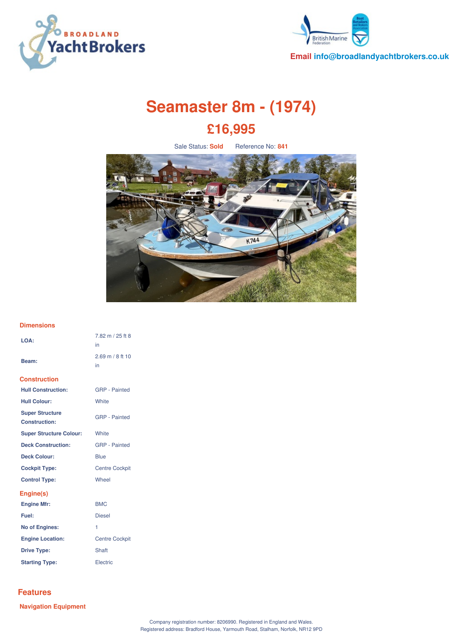



**Email info@broadlandyachtbrokers.co.uk**

# **Seamaster 8m - (1974) £16,995**

Sale Status: **Sold** Reference No: 841



#### **Dimensions**

| LOA:                                           | 7.82 m / 25 ft 8<br>in     |
|------------------------------------------------|----------------------------|
| Beam:                                          | $2.69$ m $/ 8$ ft 10<br>in |
| <b>Construction</b>                            |                            |
| <b>Hull Construction:</b>                      | <b>GRP</b> - Painted       |
| <b>Hull Colour:</b>                            | White                      |
| <b>Super Structure</b><br><b>Construction:</b> | <b>GRP</b> - Painted       |
| <b>Super Structure Colour:</b>                 | White                      |
| <b>Deck Construction:</b>                      | <b>GRP</b> - Painted       |
| <b>Deck Colour:</b>                            | Blue                       |
| <b>Cockpit Type:</b>                           | <b>Centre Cockpit</b>      |
| <b>Control Type:</b>                           | Wheel                      |
| Engine(s)                                      |                            |
| <b>Engine Mfr:</b>                             | <b>BMC</b>                 |
| Fuel:                                          | <b>Diesel</b>              |
| <b>No of Engines:</b>                          | 1                          |
| <b>Engine Location:</b>                        | <b>Centre Cockpit</b>      |
| <b>Drive Type:</b>                             | Shaft                      |
| <b>Starting Type:</b>                          | Electric                   |

## **Features**

**Navigation Equipment**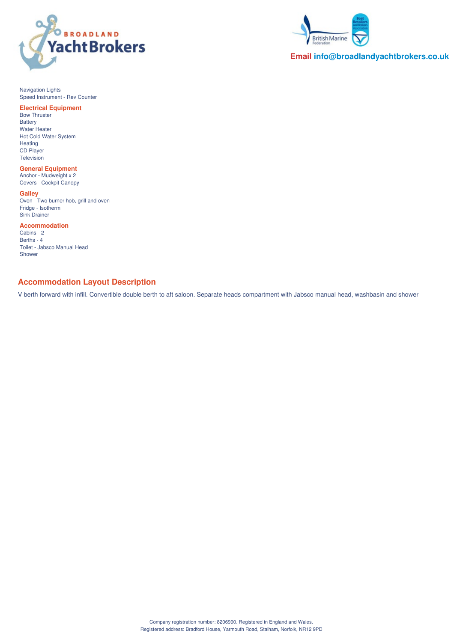



**Email info@broadlandyachtbrokers.co.uk**

Navigation Lights Speed Instrument - Rev Counter

#### **Electrical Equipment**

Bow Thruster Battery Water Heater Hot Cold Water System Heating CD Player Television

**General Equipment** Anchor - Mudweight x 2

Covers - Cockpit Canopy

**Galley** Oven - Two burner hob, grill and oven Fridge - Isotherm Sink Drainer

**Accommodation** Cabins - 2 Berths - 4 Toilet - Jabsco Manual Head Shower

## **Accommodation Layout Description**

V berth forward with infill. Convertible double berth to aft saloon. Separate heads compartment with Jabsco manual head, washbasin and shower